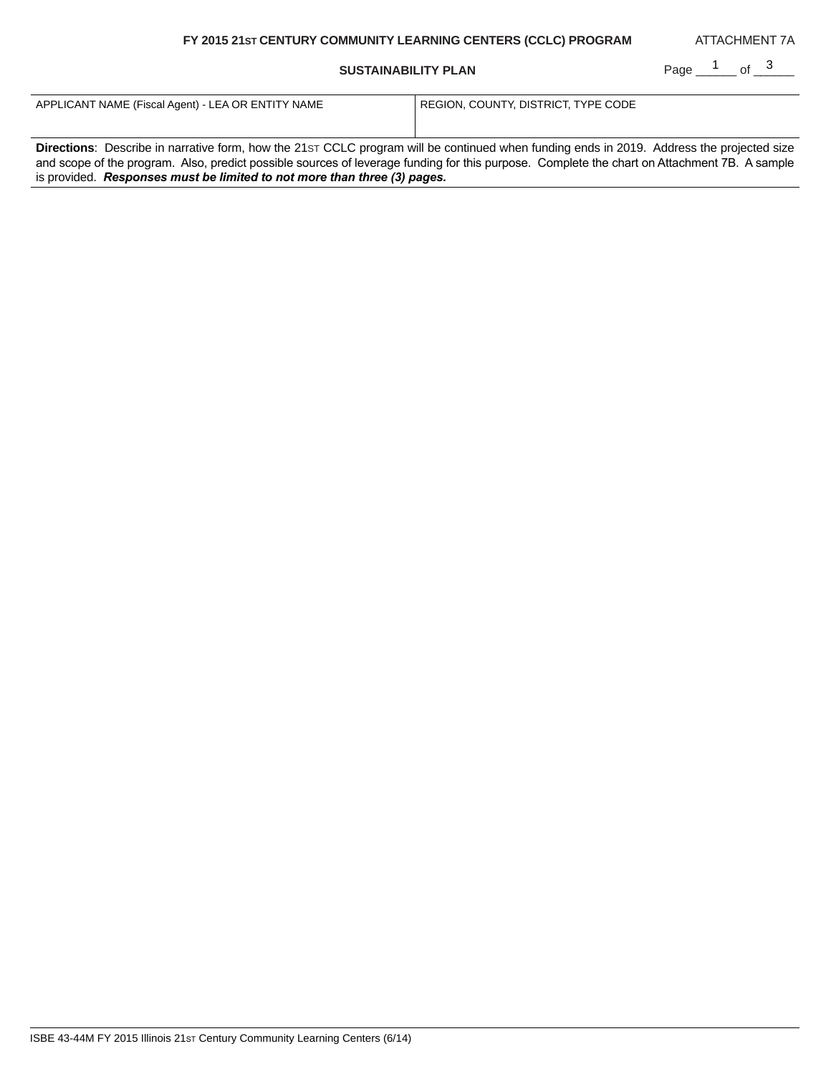# **FY 2015 21ST CENTURY COMMUNITY LEARNING CENTERS (CCLC) PROGRAM**

## **SUSTAINABILITY PLAN**

Page \_\_1 \_\_ of \_3 \_\_\_

ATTACHMENT 7A

| APPLICANT NAME (Fiscal Agent) - LEA OR ENTITY NAME                                                                                           | REGION, COUNTY, DISTRICT, TYPE CODE |  |
|----------------------------------------------------------------------------------------------------------------------------------------------|-------------------------------------|--|
|                                                                                                                                              |                                     |  |
|                                                                                                                                              |                                     |  |
| Directions: Describe in narrative form, how the 21st CCLC program will be continued when funding ends in 2019. Address the projected size    |                                     |  |
| and scope of the program. Also, predict possible sources of leverage funding for this purpose. Complete the chart on Attachment 7B. A sample |                                     |  |
| is provided. Responses must be limited to not more than three (3) pages.                                                                     |                                     |  |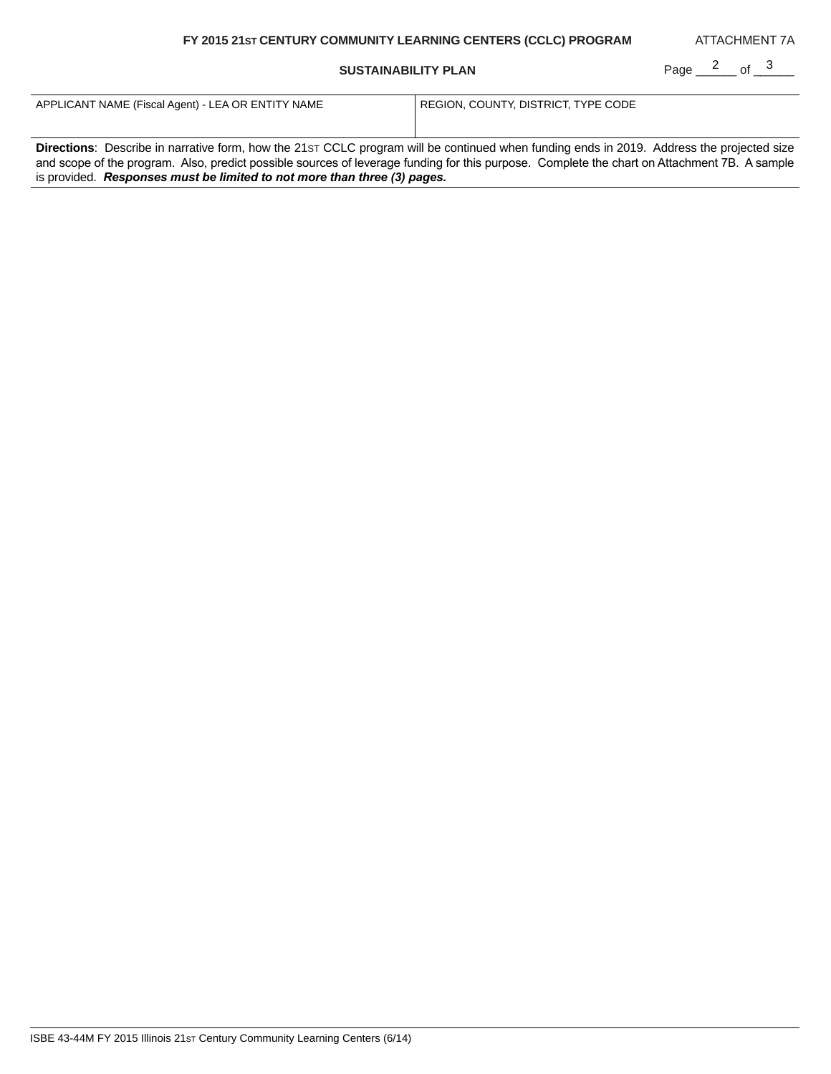# **FY 2015 21ST CENTURY COMMUNITY LEARNING CENTERS (CCLC) PROGRAM**

## **SUSTAINABILITY PLAN**

Page  $\frac{2}{\sqrt{3}}$  of  $\frac{3}{\sqrt{3}}$ 

ATTACHMENT 7A

| APPLICANT NAME (Fiscal Agent) - LEA OR ENTITY NAME                                                                                               | REGION, COUNTY, DISTRICT, TYPE CODE |  |
|--------------------------------------------------------------------------------------------------------------------------------------------------|-------------------------------------|--|
|                                                                                                                                                  |                                     |  |
|                                                                                                                                                  |                                     |  |
| <b>Directions:</b> Describe in narrative form, how the 21st CCLC program will be continued when funding ends in 2019. Address the projected size |                                     |  |
| and scope of the program. Also, predict possible sources of leverage funding for this purpose. Complete the chart on Attachment 7B. A sample     |                                     |  |
| is provided. Responses must be limited to not more than three (3) pages.                                                                         |                                     |  |